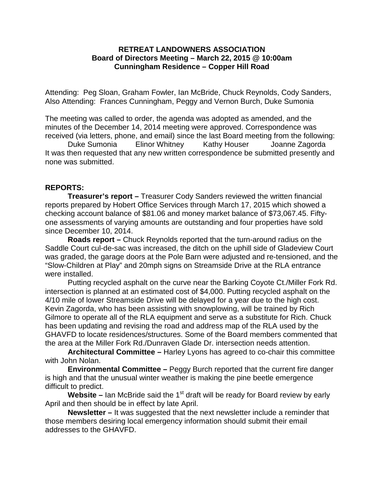## **RETREAT LANDOWNERS ASSOCIATION Board of Directors Meeting – March 22, 2015 @ 10:00am Cunningham Residence – Copper Hill Road**

Attending: Peg Sloan, Graham Fowler, Ian McBride, Chuck Reynolds, Cody Sanders, Also Attending: Frances Cunningham, Peggy and Vernon Burch, Duke Sumonia

The meeting was called to order, the agenda was adopted as amended, and the minutes of the December 14, 2014 meeting were approved. Correspondence was received (via letters, phone, and email) since the last Board meeting from the following:

Duke Sumonia Elinor Whitney Kathy Houser Joanne Zagorda It was then requested that any new written correspondence be submitted presently and none was submitted.

# **REPORTS:**

**Treasurer's report –** Treasurer Cody Sanders reviewed the written financial reports prepared by Hobert Office Services through March 17, 2015 which showed a checking account balance of \$81.06 and money market balance of \$73,067.45. Fiftyone assessments of varying amounts are outstanding and four properties have sold since December 10, 2014.

**Roads report –** Chuck Reynolds reported that the turn-around radius on the Saddle Court cul-de-sac was increased, the ditch on the uphill side of Gladeview Court was graded, the garage doors at the Pole Barn were adjusted and re-tensioned, and the "Slow-Children at Play" and 20mph signs on Streamside Drive at the RLA entrance were installed.

Putting recycled asphalt on the curve near the Barking Coyote Ct./Miller Fork Rd. intersection is planned at an estimated cost of \$4,000. Putting recycled asphalt on the 4/10 mile of lower Streamside Drive will be delayed for a year due to the high cost. Kevin Zagorda, who has been assisting with snowplowing, will be trained by Rich Gilmore to operate all of the RLA equipment and serve as a substitute for Rich. Chuck has been updating and revising the road and address map of the RLA used by the GHAVFD to locate residences/structures. Some of the Board members commented that the area at the Miller Fork Rd./Dunraven Glade Dr. intersection needs attention.

**Architectural Committee –** Harley Lyons has agreed to co-chair this committee with John Nolan.

**Environmental Committee –** Peggy Burch reported that the current fire danger is high and that the unusual winter weather is making the pine beetle emergence difficult to predict.

**Website –** Ian McBride said the 1<sup>st</sup> draft will be ready for Board review by early April and then should be in effect by late April.

**Newsletter –** It was suggested that the next newsletter include a reminder that those members desiring local emergency information should submit their email addresses to the GHAVFD.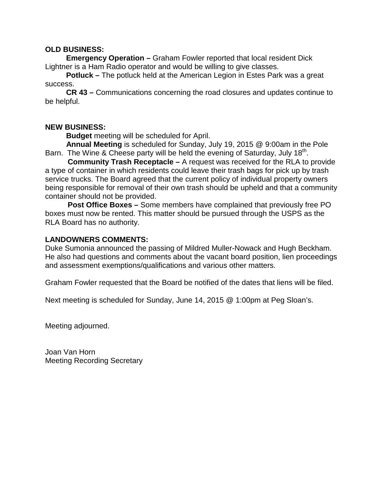## **OLD BUSINESS:**

 **Emergency Operation –** Graham Fowler reported that local resident Dick Lightner is a Ham Radio operator and would be willing to give classes.

 **Potluck –** The potluck held at the American Legion in Estes Park was a great success.

 **CR 43 –** Communications concerning the road closures and updates continue to be helpful.

## **NEW BUSINESS:**

**Budget** meeting will be scheduled for April.

 **Annual Meeting** is scheduled for Sunday, July 19, 2015 @ 9:00am in the Pole Barn. The Wine & Cheese party will be held the evening of Saturday, July  $18<sup>th</sup>$ .

**Community Trash Receptacle –** A request was received for the RLA to provide a type of container in which residents could leave their trash bags for pick up by trash service trucks. The Board agreed that the current policy of individual property owners being responsible for removal of their own trash should be upheld and that a community container should not be provided.

**Post Office Boxes –** Some members have complained that previously free PO boxes must now be rented. This matter should be pursued through the USPS as the RLA Board has no authority.

#### **LANDOWNERS COMMENTS:**

Duke Sumonia announced the passing of Mildred Muller-Nowack and Hugh Beckham. He also had questions and comments about the vacant board position, lien proceedings and assessment exemptions/qualifications and various other matters.

Graham Fowler requested that the Board be notified of the dates that liens will be filed.

Next meeting is scheduled for Sunday, June 14, 2015 @ 1:00pm at Peg Sloan's.

Meeting adjourned.

Joan Van Horn Meeting Recording Secretary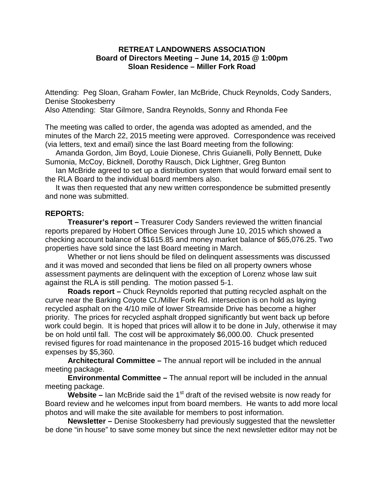## **RETREAT LANDOWNERS ASSOCIATION Board of Directors Meeting – June 14, 2015 @ 1:00pm Sloan Residence – Miller Fork Road**

Attending: Peg Sloan, Graham Fowler, Ian McBride, Chuck Reynolds, Cody Sanders, Denise Stookesberry

Also Attending: Star Gilmore, Sandra Reynolds, Sonny and Rhonda Fee

The meeting was called to order, the agenda was adopted as amended, and the minutes of the March 22, 2015 meeting were approved. Correspondence was received (via letters, text and email) since the last Board meeting from the following:

 Amanda Gordon, Jim Boyd, Louie Dionese, Chris Guianelli, Polly Bennett, Duke Sumonia, McCoy, Bicknell, Dorothy Rausch, Dick Lightner, Greg Bunton

 Ian McBride agreed to set up a distribution system that would forward email sent to the RLA Board to the individual board members also.

 It was then requested that any new written correspondence be submitted presently and none was submitted.

#### **REPORTS:**

**Treasurer's report –** Treasurer Cody Sanders reviewed the written financial reports prepared by Hobert Office Services through June 10, 2015 which showed a checking account balance of \$1615.85 and money market balance of \$65,076.25. Two properties have sold since the last Board meeting in March.

Whether or not liens should be filed on delinquent assessments was discussed and it was moved and seconded that liens be filed on all property owners whose assessment payments are delinquent with the exception of Lorenz whose law suit against the RLA is still pending. The motion passed 5-1.

**Roads report –** Chuck Reynolds reported that putting recycled asphalt on the curve near the Barking Coyote Ct./Miller Fork Rd. intersection is on hold as laying recycled asphalt on the 4/10 mile of lower Streamside Drive has become a higher priority. The prices for recycled asphalt dropped significantly but went back up before work could begin. It is hoped that prices will allow it to be done in July, otherwise it may be on hold until fall. The cost will be approximately \$6,000.00. Chuck presented revised figures for road maintenance in the proposed 2015-16 budget which reduced expenses by \$5,360.

**Architectural Committee –** The annual report will be included in the annual meeting package.

**Environmental Committee –** The annual report will be included in the annual meeting package.

Website – Ian McBride said the 1<sup>st</sup> draft of the revised website is now ready for Board review and he welcomes input from board members. He wants to add more local photos and will make the site available for members to post information.

**Newsletter –** Denise Stookesberry had previously suggested that the newsletter be done "in house" to save some money but since the next newsletter editor may not be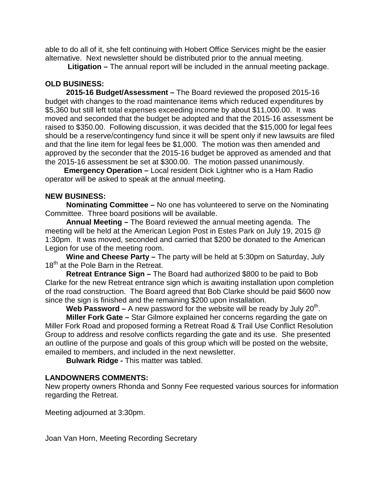able to do all of it, she felt continuing with Hobert Office Services might be the easier alternative. Next newsletter should be distributed prior to the annual meeting.

**Litigation –** The annual report will be included in the annual meeting package.

# **OLD BUSINESS:**

 **2015-16 Budget/Assessment –** The Board reviewed the proposed 2015-16 budget with changes to the road maintenance items which reduced expenditures by \$5,360 but still left total expenses exceeding income by about \$11,000.00. It was moved and seconded that the budget be adopted and that the 2015-16 assessment be raised to \$350.00. Following discussion, it was decided that the \$15,000 for legal fees should be a reserve/contingency fund since it will be spent only if new lawsuits are filed and that the line item for legal fees be \$1,000. The motion was then amended and approved by the seconder that the 2015-16 budget be approved as amended and that the 2015-16 assessment be set at \$300.00. The motion passed unanimously.

 **Emergency Operation –** Local resident Dick Lightner who is a Ham Radio operator will be asked to speak at the annual meeting.

# **NEW BUSINESS:**

 **Nominating Committee –** No one has volunteered to serve on the Nominating Committee. Three board positions will be available.

 **Annual Meeting –** The Board reviewed the annual meeting agenda. The meeting will be held at the American Legion Post in Estes Park on July 19, 2015 @ 1:30pm. It was moved, seconded and carried that \$200 be donated to the American Legion for use of the meeting room.

 **Wine and Cheese Party –** The party will be held at 5:30pm on Saturday, July 18<sup>th</sup> at the Pole Barn in the Retreat.

 **Retreat Entrance Sign –** The Board had authorized \$800 to be paid to Bob Clarke for the new Retreat entrance sign which is awaiting installation upon completion of the road construction. The Board agreed that Bob Clarke should be paid \$600 now since the sign is finished and the remaining \$200 upon installation.

Web Password – A new password for the website will be ready by July 20<sup>th</sup>.

 **Miller Fork Gate –** Star Gilmore explained her concerns regarding the gate on Miller Fork Road and proposed forming a Retreat Road & Trail Use Conflict Resolution Group to address and resolve conflicts regarding the gate and its use. She presented an outline of the purpose and goals of this group which will be posted on the website, emailed to members, and included in the next newsletter.

**Bulwark Ridge -** This matter was tabled.

# **LANDOWNERS COMMENTS:**

New property owners Rhonda and Sonny Fee requested various sources for information regarding the Retreat.

Meeting adjourned at 3:30pm.

Joan Van Horn, Meeting Recording Secretary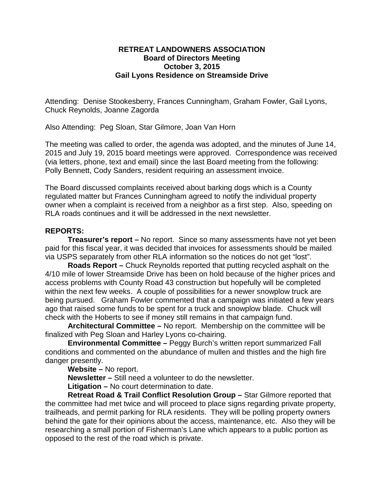### **RETREAT LANDOWNERS ASSOCIATION Board of Directors Meeting October 3, 2015 Gail Lyons Residence on Streamside Drive**

Attending: Denise Stookesberry, Frances Cunningham, Graham Fowler, Gail Lyons, Chuck Reynolds, Joanne Zagorda

Also Attending: Peg Sloan, Star Gilmore, Joan Van Horn

The meeting was called to order, the agenda was adopted, and the minutes of June 14, 2015 and July 19, 2015 board meetings were approved. Correspondence was received (via letters, phone, text and email) since the last Board meeting from the following: Polly Bennett, Cody Sanders, resident requiring an assessment invoice.

The Board discussed complaints received about barking dogs which is a County regulated matter but Frances Cunningham agreed to notify the individual property owner when a complaint is received from a neighbor as a first step. Also, speeding on RLA roads continues and it will be addressed in the next newsletter.

## **REPORTS:**

**Treasurer's report –** No report. Since so many assessments have not yet been paid for this fiscal year, it was decided that invoices for assessments should be mailed via USPS separately from other RLA information so the notices do not get "lost".

**Roads Report –** Chuck Reynolds reported that putting recycled asphalt on the 4/10 mile of lower Streamside Drive has been on hold because of the higher prices and access problems with County Road 43 construction but hopefully will be completed within the next few weeks. A couple of possibilities for a newer snowplow truck are being pursued. Graham Fowler commented that a campaign was initiated a few years ago that raised some funds to be spent for a truck and snowplow blade. Chuck will check with the Hoberts to see if money still remains in that campaign fund.

**Architectural Committee –** No report. Membership on the committee will be finalized with Peg Sloan and Harley Lyons co-chairing.

**Environmental Committee –** Peggy Burch's written report summarized Fall conditions and commented on the abundance of mullen and thistles and the high fire danger presently.

**Website –** No report.

**Newsletter –** Still need a volunteer to do the newsletter.

**Litigation –** No court determination to date.

**Retreat Road & Trail Conflict Resolution Group –** Star Gilmore reported that the committee had met twice and will proceed to place signs regarding private property, trailheads, and permit parking for RLA residents. They will be polling property owners behind the gate for their opinions about the access, maintenance, etc. Also they will be researching a small portion of Fisherman's Lane which appears to a public portion as opposed to the rest of the road which is private.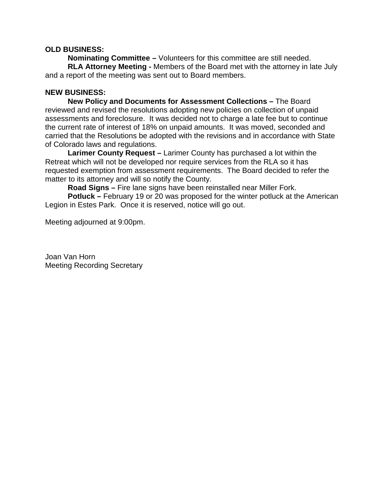## **OLD BUSINESS:**

**Nominating Committee –** Volunteers for this committee are still needed. **RLA Attorney Meeting -** Members of the Board met with the attorney in late July and a report of the meeting was sent out to Board members.

## **NEW BUSINESS:**

**New Policy and Documents for Assessment Collections –** The Board reviewed and revised the resolutions adopting new policies on collection of unpaid assessments and foreclosure. It was decided not to charge a late fee but to continue the current rate of interest of 18% on unpaid amounts. It was moved, seconded and carried that the Resolutions be adopted with the revisions and in accordance with State of Colorado laws and regulations.

**Larimer County Request –** Larimer County has purchased a lot within the Retreat which will not be developed nor require services from the RLA so it has requested exemption from assessment requirements. The Board decided to refer the matter to its attorney and will so notify the County.

**Road Signs –** Fire lane signs have been reinstalled near Miller Fork.

**Potluck –** February 19 or 20 was proposed for the winter potluck at the American Legion in Estes Park. Once it is reserved, notice will go out.

Meeting adjourned at 9:00pm.

Joan Van Horn Meeting Recording Secretary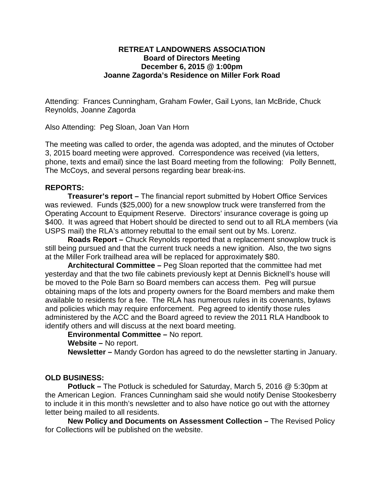## **RETREAT LANDOWNERS ASSOCIATION Board of Directors Meeting December 6, 2015 @ 1:00pm Joanne Zagorda's Residence on Miller Fork Road**

Attending: Frances Cunningham, Graham Fowler, Gail Lyons, Ian McBride, Chuck Reynolds, Joanne Zagorda

Also Attending: Peg Sloan, Joan Van Horn

The meeting was called to order, the agenda was adopted, and the minutes of October 3, 2015 board meeting were approved. Correspondence was received (via letters, phone, texts and email) since the last Board meeting from the following: Polly Bennett, The McCoys, and several persons regarding bear break-ins.

# **REPORTS:**

**Treasurer's report –** The financial report submitted by Hobert Office Services was reviewed. Funds (\$25,000) for a new snowplow truck were transferred from the Operating Account to Equipment Reserve. Directors' insurance coverage is going up \$400. It was agreed that Hobert should be directed to send out to all RLA members (via USPS mail) the RLA's attorney rebuttal to the email sent out by Ms. Lorenz.

**Roads Report –** Chuck Reynolds reported that a replacement snowplow truck is still being pursued and that the current truck needs a new ignition. Also, the two signs at the Miller Fork trailhead area will be replaced for approximately \$80.

**Architectural Committee –** Peg Sloan reported that the committee had met yesterday and that the two file cabinets previously kept at Dennis Bicknell's house will be moved to the Pole Barn so Board members can access them. Peg will pursue obtaining maps of the lots and property owners for the Board members and make them available to residents for a fee. The RLA has numerous rules in its covenants, bylaws and policies which may require enforcement. Peg agreed to identify those rules administered by the ACC and the Board agreed to review the 2011 RLA Handbook to identify others and will discuss at the next board meeting.

**Environmental Committee –** No report.

**Website –** No report.

**Newsletter –** Mandy Gordon has agreed to do the newsletter starting in January.

#### **OLD BUSINESS:**

**Potluck –** The Potluck is scheduled for Saturday, March 5, 2016 @ 5:30pm at the American Legion. Frances Cunningham said she would notify Denise Stookesberry to include it in this month's newsletter and to also have notice go out with the attorney letter being mailed to all residents.

**New Policy and Documents on Assessment Collection –** The Revised Policy for Collections will be published on the website.